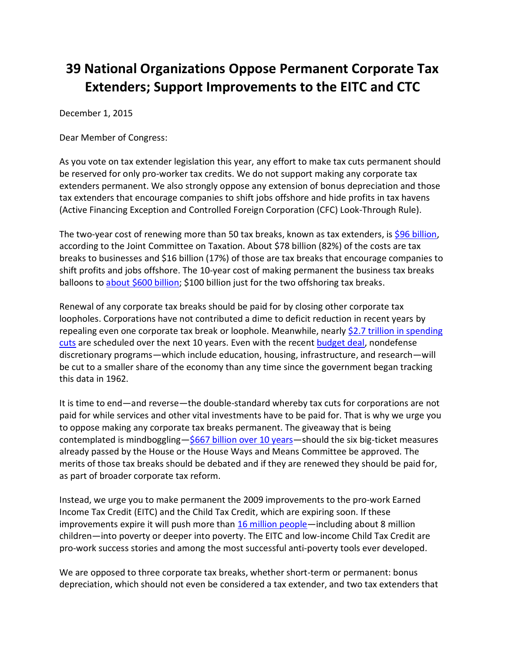## **39 National Organizations Oppose Permanent Corporate Tax Extenders; Support Improvements to the EITC and CTC**

December 1, 2015

Dear Member of Congress:

As you vote on tax extender legislation this year, any effort to make tax cuts permanent should be reserved for only pro-worker tax credits. We do not support making any corporate tax extenders permanent. We also strongly oppose any extension of bonus depreciation and those tax extenders that encourage companies to shift jobs offshore and hide profits in tax havens (Active Financing Exception and Controlled Foreign Corporation (CFC) Look-Through Rule).

The two-year cost of renewing more than 50 tax breaks, known as tax extenders, is \$96 [billion,](https://www.jct.gov/publications.html?func=startdown&id=4801) according to the Joint Committee on Taxation. About \$78 billion (82%) of the costs are tax breaks to businesses and \$16 billion (17%) of those are tax breaks that encourage companies to shift profits and jobs offshore. The 10-year cost of making permanent the business tax breaks balloons to [about \\$600 billion;](https://www.cbo.gov/publication/45069) \$100 billion just for the two offshoring tax breaks.

Renewal of any corporate tax breaks should be paid for by closing other corporate tax loopholes. Corporations have not contributed a dime to deficit reduction in recent years by repealing even one corporate tax break or loophole. Meanwhile, nearly \$2.7 trillion in spending [cuts](http://www.budget.senate.gov/democratic/public/_cache/files/ca28afb2-456a-440e-a2ba-699587c984b4/the-republican-budget-a-massive-transfer-of-wealth-from-the-middle-class-to-millionaires-and-billionaires.pdf) are scheduled over the next 10 years. Even with the recent [budget deal,](http://www.cbpp.org/press/statements/greenstein-budget-deal-though-imperfect-represents-significant-accomplishment-and) nondefense discretionary programs—which include education, housing, infrastructure, and research—will be cut to a smaller share of the economy than any time since the government began tracking this data in 1962.

It is time to end—and reverse—the double-standard whereby tax cuts for corporations are not paid for while services and other vital investments have to be paid for. That is why we urge you to oppose making any corporate tax breaks permanent. The giveaway that is being contemplated is mindboggling- $$667$  billion [over 10 years](http://www.americansfortaxfairness.org/files/Cost-of-2015-Tax-Extenders-Passed-by-House-and-WM-Cttee-9-15-15.pdf)-should the six big-ticket measures already passed by the House or the House Ways and Means Committee be approved. The merits of those tax breaks should be debated and if they are renewed they should be paid for, as part of broader corporate tax reform.

Instead, we urge you to make permanent the 2009 improvements to the pro-work Earned Income Tax Credit (EITC) and the Child Tax Credit, which are expiring soon. If these improvements expire it will push more than [16 million people](http://www.cbpp.org/research/federal-tax/letting-key-provisions-of-working-family-tax-credits-expire-would-push-16)—including about 8 million children—into poverty or deeper into poverty. The EITC and low-income Child Tax Credit are pro-work success stories and among the most successful anti-poverty tools ever developed.

We are opposed to three corporate tax breaks, whether short-term or permanent: bonus depreciation, which should not even be considered a tax extender, and two tax extenders that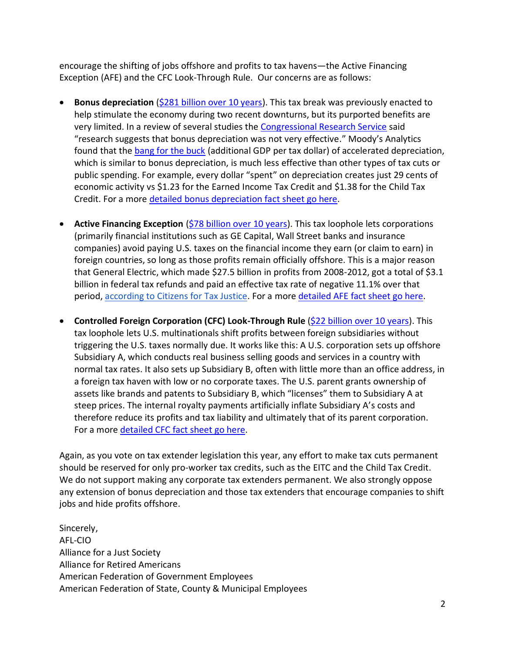encourage the shifting of jobs offshore and profits to tax havens—the Active Financing Exception (AFE) and the CFC Look-Through Rule. Our concerns are as follows:

- **Bonus depreciation** [\(\\$281 billion over 10 years\)](https://www.jct.gov/publications.html?func=startdown&id=4829). This tax break was previously enacted to help stimulate the economy during two recent downturns, but its purported benefits are very limited. In a review of several studies the [Congressional Research Service](http://cdn.akingump.com/images/content/3/1/v2/31140/Bonus-Depreciation-CRS-Report-July-2014.pdf) said "research suggests that bonus depreciation was not very effective." Moody's Analytics found that the [bang for the buck](https://www.economy.com/dismal/analysis/free/224641) (additional GDP per tax dollar) of accelerated depreciation, which is similar to bonus depreciation, is much less effective than other types of tax cuts or public spending. For example, every dollar "spent" on depreciation creates just 29 cents of economic activity vs \$1.23 for the Earned Income Tax Credit and \$1.38 for the Child Tax Credit. For a more [detailed bonus depreciation](http://www.americansfortaxfairness.org/files/ATF-Bonus-Depreciation-Fact-Sheet-2015-FINAL.pdf) fact sheet go here.
- **Active Financing Exception** (\$78 billion [over 10 years\)](https://www.cbo.gov/sites/default/files/114th-congress-2015-2016/costestimate/hr961.pdf). This tax loophole lets corporations (primarily financial institutions such as GE Capital, Wall Street banks and insurance companies) avoid paying U.S. taxes on the financial income they earn (or claim to earn) in foreign countries, so long as those profits remain officially offshore. This is a major reason that General Electric, which made \$27.5 billion in profits from 2008-2012, got a total of \$3.1 billion in federal tax refunds and paid an effective tax rate of negative 11.1% over that period, [according to Citizens for Tax Justice.](http://www.ctj.org/corporatetaxdodgers/sorrystateofcorptaxes.pdf) For a more [detailed AFE fact sheet go here.](http://www.americansfortaxfairness.org/files/ATF-Active-Financing-Exception-Fact-Sheet-2015-FINAL.pdf)
- **Controlled Foreign Corporation (CFC) Look-Through Rule** (\$22 billion [over 10 years\)](https://www.cbo.gov/sites/default/files/114th-congress-2015-2016/costestimate/hr1430.pdf). This tax loophole lets U.S. multinationals shift profits between foreign subsidiaries without triggering the U.S. taxes normally due. It works like this: A U.S. corporation sets up offshore Subsidiary A, which conducts real business selling goods and services in a country with normal tax rates. It also sets up Subsidiary B, often with little more than an office address, in a foreign tax haven with low or no corporate taxes. The U.S. parent grants ownership of assets like brands and patents to Subsidiary B, which "licenses" them to Subsidiary A at steep prices. The internal royalty payments artificially inflate Subsidiary A's costs and therefore reduce its profits and tax liability and ultimately that of its parent corporation. For a more [detailed CFC fact sheet go here.](http://www.americansfortaxfairness.org/files/ATF-CFC-Look-Through-Rule-Fact-Sheet-2015-FINAL.pdf)

Again, as you vote on tax extender legislation this year, any effort to make tax cuts permanent should be reserved for only pro-worker tax credits, such as the EITC and the Child Tax Credit. We do not support making any corporate tax extenders permanent. We also strongly oppose any extension of bonus depreciation and those tax extenders that encourage companies to shift jobs and hide profits offshore.

Sincerely, AFL-CIO Alliance for a Just Society Alliance for Retired Americans American Federation of Government Employees American Federation of State, County & Municipal Employees